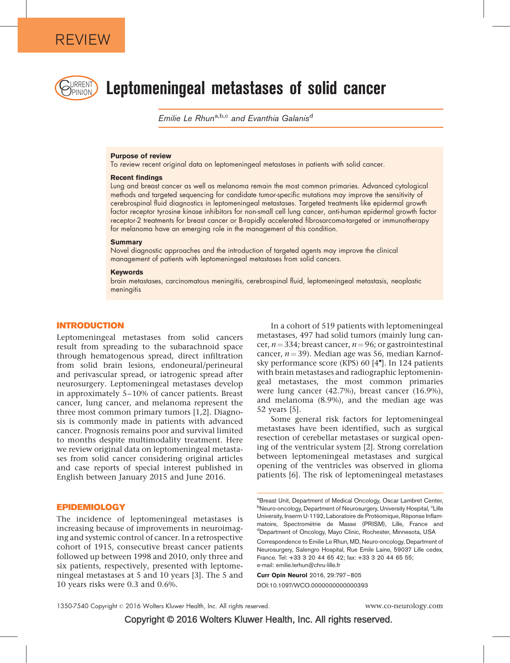

# $\text{C}_\text{PHNION}$  Leptomeningeal metastases of solid cancer

Emilie Le Rhun<sup>a,b,c</sup> and Evanthia Galanis<sup>d</sup>

#### Purpose of review

To review recent original data on leptomeningeal metastases in patients with solid cancer.

## Recent findings

Lung and breast cancer as well as melanoma remain the most common primaries. Advanced cytological methods and targeted sequencing for candidate tumor-specific mutations may improve the sensitivity of cerebrospinal fluid diagnostics in leptomeningeal metastases. Targeted treatments like epidermal growth factor receptor tyrosine kinase inhibitors for non-small cell lung cancer, anti-human epidermal growth factor receptor-2 treatments for breast cancer or B-rapidly accelerated fibrosarcoma-targeted or immunotherapy for melanoma have an emerging role in the management of this condition.

#### **Summary**

Novel diagnostic approaches and the introduction of targeted agents may improve the clinical management of patients with leptomeningeal metastases from solid cancers.

#### Keywords

brain metastases, carcinomatous meningitis, cerebrospinal fluid, leptomeningeal metastasis, neoplastic meningitis

## INTRODUCTION

Leptomeningeal metastases from solid cancers result from spreading to the subarachnoid space through hematogenous spread, direct infiltration from solid brain lesions, endoneural/perineural and perivascular spread, or iatrogenic spread after neurosurgery. Leptomeningeal metastases develop in approximately 5–10% of cancer patients. Breast cancer, lung cancer, and melanoma represent the three most common primary tumors [\[1,2\].](#page-6-0) Diagnosis is commonly made in patients with advanced cancer. Prognosis remains poor and survival limited to months despite multimodality treatment. Here we review original data on leptomeningeal metastases from solid cancer considering original articles and case reports of special interest published in English between January 2015 and June 2016.

## EPIDEMIOLOGY

The incidence of leptomeningeal metastases is increasing because of improvements in neuroimaging and systemic control of cancer. In a retrospective cohort of 1915, consecutive breast cancer patients followed up between 1998 and 2010, only three and six patients, respectively, presented with leptomeningeal metastases at 5 and 10 years [\[3\].](#page-6-0) The 5 and 10 years risks were 0.3 and 0.6%.

In a cohort of 519 patients with leptomeningeal metastases, 497 had solid tumors (mainly lung cancer,  $n = 334$ ; breast cancer,  $n = 96$ ; or gastrointestinal cancer,  $n = 39$ ). Median age was 56, median Karnof-sky performance score (KPS) 60<sup>[\[4](#page-6-0)[\]](#page-6-0)</sup>. In 124 patients with brain metastases and radiographic leptomeningeal metastases, the most common primaries were lung cancer (42.7%), breast cancer (16.9%), and melanoma (8.9%), and the median age was 52 years [\[5\].](#page-6-0)

Some general risk factors for leptomeningeal metastases have been identified, such as surgical resection of cerebellar metastases or surgical opening of the ventricular system [\[2\].](#page-6-0) Strong correlation between leptomeningeal metastases and surgical opening of the ventricles was observed in glioma patients [\[6\].](#page-6-0) The risk of leptomeningeal metastases

Curr Opin Neurol 2016, 29:797–805 DOI:10.1097/WCO.0000000000000393

<sup>&</sup>lt;sup>a</sup> Breast Unit, Department of Medical Oncology, Oscar Lambret Center, <sup>b</sup>Neuro-oncology, Department of Neurosurgery, University Hospital, <sup>c</sup>Lille University, Inserm U-1192, Laboratoire de Protéomique, Réponse Inflammatoire, Spectrométrie de Masse (PRISM), Lille, France and Department of Oncology, Mayo Clinic, Rochester, Minnesota, USA

Correspondence to Emilie Le Rhun, MD, Neuro-oncology, Department of Neurosurgery, Salengro Hospital, Rue Emile Laine, 59037 Lille cedex, France. Tel: +33 3 20 44 65 42; fax: +33 3 20 44 65 55; e-mail: [emilie.lerhun@chru-lille.fr](mailto:emilie.lerhun@chru-lille.fr)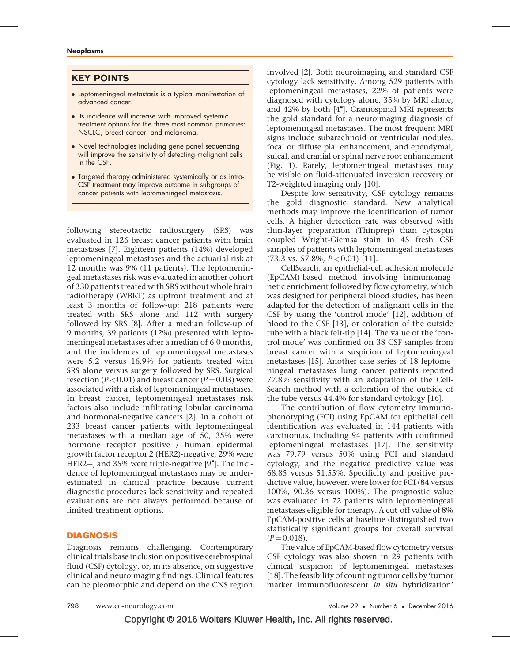# KEY POINTS

- Leptomeningeal metastasis is a typical manifestation of advanced cancer.
- Its incidence will increase with improved systemic treatment options for the three most common primaries: NSCLC, breast cancer, and melanoma.
- Novel technologies including gene panel sequencing will improve the sensitivity of detecting malignant cells in the CSF.
- Targeted therapy administered systemically or as intra-CSF treatment may improve outcome in subgroups of cancer patients with leptomeningeal metastasis.

following stereotactic radiosurgery (SRS) was evaluated in 126 breast cancer patients with brain metastases [\[7\].](#page-6-0) Eighteen patients (14%) developed leptomeningeal metastases and the actuarial risk at 12 months was 9% (11 patients). The leptomeningeal metastases risk was evaluated in another cohort of 330 patients treated with SRS without whole brain radiotherapy (WBRT) as upfront treatment and at least 3 months of follow-up; 218 patients were treated with SRS alone and 112 with surgery followed by SRS [\[8\].](#page-6-0) After a median follow-up of 9 months, 39 patients (12%) presented with leptomeningeal metastases after a median of 6.0 months, and the incidences of leptomeningeal metastases were 5.2 versus 16.9% for patients treated with SRS alone versus surgery followed by SRS. Surgical resection ( $P < 0.01$ ) and breast cancer ( $P = 0.03$ ) were associated with a risk of leptomeningeal metastases. In breast cancer, leptomeningeal metastases risk factors also include infiltrating lobular carcinoma and hormonal-negative cancers [\[2\].](#page-6-0) In a cohort of 233 breast cancer patients with leptomeningeal metastases with a median age of 50, 35% were hormone receptor positive / human epidermal growth factor receptor 2 (HER2)-negative, 29% were  $HER2+$ , and 35% were triple-negative  $[9^{\bullet}]$  $[9^{\bullet}]$  $[9^{\bullet}]$ . The incidence of leptomeningeal metastases may be underestimated in clinical practice because current diagnostic procedures lack sensitivity and repeated evaluations are not always performed because of limited treatment options.

# DIAGNOSIS

Diagnosis remains challenging. Contemporary clinical trials base inclusion on positive cerebrospinal fluid (CSF) cytology, or, in its absence, on suggestive clinical and neuroimaging findings. Clinical features can be pleomorphic and depend on the CNS region

involved [\[2\].](#page-6-0) Both neuroimaging and standard CSF cytology lack sensitivity. Among 529 patients with leptomeningeal metastases, 22% of patients were diagnosed with cytology alone, 35% by MRI alone, and 42% by both [\[4](#page-6-0)"[\]](#page-6-0). Craniospinal MRI represents the gold standard for a neuroimaging diagnosis of leptomeningeal metastases. The most frequent MRI signs include subarachnoid or ventricular nodules, focal or diffuse pial enhancement, and ependymal, sulcal, and cranial or spinal nerve root enhancement (Fig. 1). Rarely, leptomeningeal metastases may be visible on fluid-attenuated inversion recovery or T2-weighted imaging only [\[10\].](#page-6-0)

Despite low sensitivity, CSF cytology remains the gold diagnostic standard. New analytical methods may improve the identification of tumor cells. A higher detection rate was observed with thin-layer preparation (Thinprep) than cytospin coupled Wright-Giemsa stain in 45 fresh CSF samples of patients with leptomeningeal metastases  $(73.3 \text{ vs. } 57.8\%, P < 0.01)$  [\[11\]](#page-7-0).

CellSearch, an epithelial-cell adhesion molecule (EpCAM)-based method involving immunomagnetic enrichment followed by flow cytometry, which was designed for peripheral blood studies, has been adapted for the detection of malignant cells in the CSF by using the 'control mode' [\[12\],](#page-7-0) addition of blood to the CSF [\[13\],](#page-7-0) or coloration of the outside tube with a black felt-tip [\[14\].](#page-7-0) The value of the 'control mode' was confirmed on 38 CSF samples from breast cancer with a suspicion of leptomeningeal metastases [\[15\]](#page-7-0). Another case series of 18 leptomeningeal metastases lung cancer patients reported 77.8% sensitivity with an adaptation of the Cell-Search method with a coloration of the outside of the tube versus 44.4% for standard cytology [\[16\].](#page-7-0)

The contribution of flow cytometry immunophenotyping (FCI) using EpCAM for epithelial cell identification was evaluated in 144 patients with carcinomas, including 94 patients with confirmed leptomeningeal metastases [\[17\].](#page-7-0) The sensitivity was 79.79 versus 50% using FCI and standard cytology, and the negative predictive value was 68.85 versus 51.55%. Specificity and positive predictive value, however, were lower for FCI (84 versus 100%, 90.36 versus 100%). The prognostic value was evaluated in 72 patients with leptomeningeal metastases eligible for therapy. A cut-off value of 8% EpCAM-positive cells at baseline distinguished two statistically significant groups for overall survival  $(P = 0.018)$ .

The value of EpCAM-based flow cytometry versus CSF cytology was also shown in 29 patients with clinical suspicion of leptomeningeal metastases [\[18\].](#page-7-0) The feasibility of counting tumor cells by 'tumor marker immunofluorescent in situ hybridization'

Copyright © 2016 Wolters Kluwer Health, Inc. All rights reserved.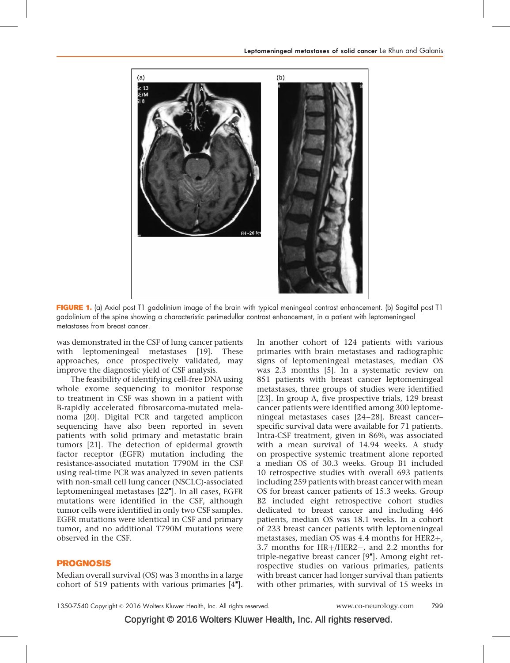

FIGURE 1. (a) Axial post T1 gadolinium image of the brain with typical meningeal contrast enhancement. (b) Sagittal post T1 gadolinium of the spine showing a characteristic perimedullar contrast enhancement, in a patient with leptomeningeal metastases from breast cancer.

was demonstrated in the CSF of lung cancer patients with leptomeningeal metastases [\[19\]](#page-7-0). These approaches, once prospectively validated, may improve the diagnostic yield of CSF analysis.

The feasibility of identifying cell-free DNA using whole exome sequencing to monitor response to treatment in CSF was shown in a patient with B-rapidly accelerated fibrosarcoma-mutated melanoma [\[20\].](#page-7-0) Digital PCR and targeted amplicon sequencing have also been reported in seven patients with solid primary and metastatic brain tumors [\[21\].](#page-7-0) The detection of epidermal growth factor receptor (EGFR) mutation including the resistance-associated mutation T790M in the CSF using real-time PCR was analyzed in seven patients with non-small cell lung cancer (NSCLC)-associated leptomeningeal metastases [\[22](#page-7-0)"[\]](#page-7-0). In all cases, EGFR mutations were identified in the CSF, although tumor cells were identified in only two CSF samples. EGFR mutations were identical in CSF and primary tumor, and no additional T790M mutations were observed in the CSF.

# PROGNOSIS

Median overall survival (OS) was 3 months in a large cohort of 519 patients with various primaries  $[4"$  $[4"$ .

In another cohort of 124 patients with various primaries with brain metastases and radiographic signs of leptomeningeal metastases, median OS was 2.3 months [\[5\]](#page-6-0). In a systematic review on 851 patients with breast cancer leptomeningeal metastases, three groups of studies were identified [\[23\].](#page-7-0) In group A, five prospective trials, 129 breast cancer patients were identified among 300 leptomeningeal metastases cases [\[24–28\]](#page-7-0). Breast cancer– specific survival data were available for 71 patients. Intra-CSF treatment, given in 86%, was associated with a mean survival of 14.94 weeks. A study on prospective systemic treatment alone reported a median OS of 30.3 weeks. Group B1 included 10 retrospective studies with overall 693 patients including 259 patients with breast cancer with mean OS for breast cancer patients of 15.3 weeks. Group B2 included eight retrospective cohort studies dedicated to breast cancer and including 446 patients, median OS was 18.1 weeks. In a cohort of 233 breast cancer patients with leptomeningeal metastases, median OS was 4.4 months for HER2 $+$ , 3.7 months for  $HR+/HER2-$ , and 2.2 months for triple-negative breast cancer [\[9](#page-6-0)"[\].](#page-6-0) Among eight retrospective studies on various primaries, patients with breast cancer had longer survival than patients with other primaries, with survival of 15 weeks in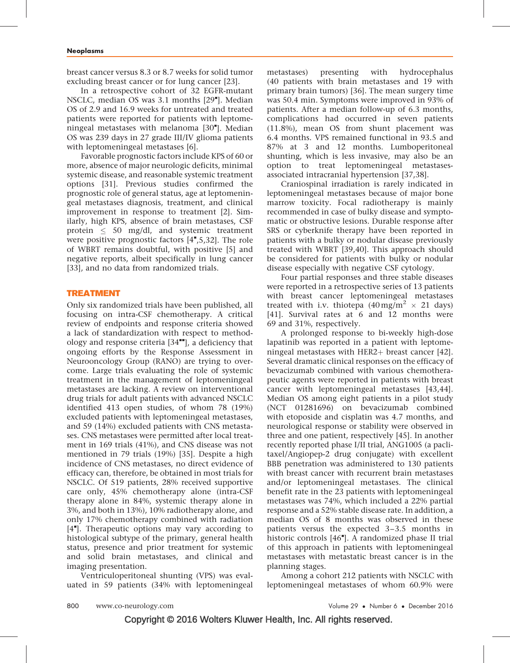breast cancer versus 8.3 or 8.7 weeks for solid tumor excluding breast cancer or for lung cancer [\[23\]](#page-7-0).

In a retrospective cohort of 32 EGFR-mutant NSCLC, median OS was 3.1 months [\[29](#page-7-0)"[\].](#page-7-0) Median OS of 2.9 and 16.9 weeks for untreated and treated patients were reported for patients with leptome-ningeal metastases with melanoma [\[30](#page-7-0)"[\].](#page-7-0) Median OS was 239 days in 27 grade III/IV glioma patients with leptomeningeal metastases [\[6\].](#page-6-0)

Favorable prognostic factors include KPS of 60 or more, absence of major neurologic deficits, minimal systemic disease, and reasonable systemic treatment options [\[31\].](#page-7-0) Previous studies confirmed the prognostic role of general status, age at leptomeningeal metastases diagnosis, treatment, and clinical improvement in response to treatment [\[2\].](#page-6-0) Similarly, high KPS, absence of brain metastases, CSF protein  $\leq$  50 mg/dl, and systemic treatment were positive prognostic factors [\[4](#page-6-0)"[,5,32\].](#page-6-0) The role of WBRT remains doubtful, with positive [\[5\]](#page-6-0) and negative reports, albeit specifically in lung cancer [\[33\],](#page-7-0) and no data from randomized trials.

## TREATMENT

Only six randomized trials have been published, all focusing on intra-CSF chemotherapy. A critical review of endpoints and response criteria showed a lack of standardization with respect to methodology and response criteria  $[34$ <sup> $H$ </sup>[\],](#page-7-0) a deficiency that ongoing efforts by the Response Assessment in Neurooncology Group (RANO) are trying to overcome. Large trials evaluating the role of systemic treatment in the management of leptomeningeal metastases are lacking. A review on interventional drug trials for adult patients with advanced NSCLC identified 413 open studies, of whom 78 (19%) excluded patients with leptomeningeal metastases, and 59 (14%) excluded patients with CNS metastases. CNS metastases were permitted after local treatment in 169 trials (41%), and CNS disease was not mentioned in 79 trials (19%) [\[35\].](#page-7-0) Despite a high incidence of CNS metastases, no direct evidence of efficacy can, therefore, be obtained in most trials for NSCLC. Of 519 patients, 28% received supportive care only, 45% chemotherapy alone (intra-CSF therapy alone in 84%, systemic therapy alone in 3%, and both in 13%), 10% radiotherapy alone, and only 17% chemotherapy combined with radiation [\[4](#page-6-0)"[\].](#page-6-0) Therapeutic options may vary according to histological subtype of the primary, general health status, presence and prior treatment for systemic and solid brain metastases, and clinical and imaging presentation.

Ventriculoperitoneal shunting (VPS) was evaluated in 59 patients (34% with leptomeningeal metastases) presenting with hydrocephalus (40 patients with brain metastases and 19 with primary brain tumors) [\[36\].](#page-7-0) The mean surgery time was 50.4 min. Symptoms were improved in 93% of patients. After a median follow-up of 6.3 months, complications had occurred in seven patients (11.8%), mean OS from shunt placement was 6.4 months. VPS remained functional in 93.5 and 87% at 3 and 12 months. Lumboperitoneal shunting, which is less invasive, may also be an option to treat leptomeningeal metastasesassociated intracranial hypertension [\[37,38\]](#page-7-0).

Craniospinal irradiation is rarely indicated in leptomeningeal metastases because of major bone marrow toxicity. Focal radiotherapy is mainly recommended in case of bulky disease and symptomatic or obstructive lesions. Durable response after SRS or cyberknife therapy have been reported in patients with a bulky or nodular disease previously treated with WBRT [\[39,40\].](#page-7-0) This approach should be considered for patients with bulky or nodular disease especially with negative CSF cytology.

Four partial responses and three stable diseases were reported in a retrospective series of 13 patients with breast cancer leptomeningeal metastases treated with i.v. thiotepa  $(40 \,\text{mg/m}^2 \times 21 \text{ days})$ [\[41\].](#page-7-0) Survival rates at 6 and 12 months were 69 and 31%, respectively.

A prolonged response to bi-weekly high-dose lapatinib was reported in a patient with leptomeningeal metastases with  $HER2+$  breast cancer [\[42\]](#page-7-0). Several dramatic clinical responses on the efficacy of bevacizumab combined with various chemotherapeutic agents were reported in patients with breast cancer with leptomeningeal metastases [\[43,44\].](#page-7-0) Median OS among eight patients in a pilot study (NCT 01281696) on bevacizumab combined with etoposide and cisplatin was 4.7 months, and neurological response or stability were observed in three and one patient, respectively [\[45\]](#page-7-0). In another recently reported phase I/II trial, ANG1005 (a paclitaxel/Angiopep-2 drug conjugate) with excellent BBB penetration was administered to 130 patients with breast cancer with recurrent brain metastases and/or leptomeningeal metastases. The clinical benefit rate in the 23 patients with leptomeningeal metastases was 74%, which included a 22% partial response and a 52% stable disease rate. In addition, a median OS of 8 months was observed in these patients versus the expected 3–3.5 months in historic controls [\[46](#page-7-0)"[\]](#page-7-0). A randomized phase II trial of this approach in patients with leptomeningeal metastases with metastatic breast cancer is in the planning stages.

Among a cohort 212 patients with NSCLC with leptomeningeal metastases of whom 60.9% were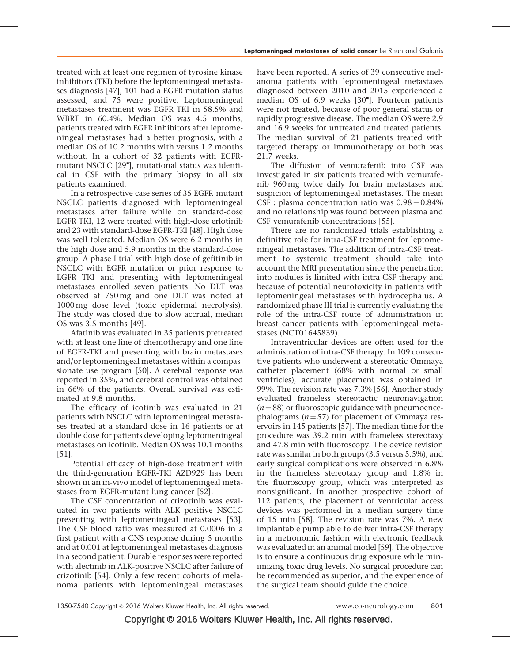treated with at least one regimen of tyrosine kinase inhibitors (TKI) before the leptomeningeal metastases diagnosis [\[47\],](#page-7-0) 101 had a EGFR mutation status assessed, and 75 were positive. Leptomeningeal metastases treatment was EGFR TKI in 58.5% and WBRT in 60.4%. Median OS was 4.5 months, patients treated with EGFR inhibitors after leptomeningeal metastases had a better prognosis, with a median OS of 10.2 months with versus 1.2 months without. In a cohort of 32 patients with EGFR-mutant NSCLC [\[29](#page-7-0)"[\]](#page-7-0), mutational status was identical in CSF with the primary biopsy in all six patients examined.

In a retrospective case series of 35 EGFR-mutant NSCLC patients diagnosed with leptomeningeal metastases after failure while on standard-dose EGFR TKI, 12 were treated with high-dose erlotinib and 23 with standard-dose EGFR-TKI [\[48\].](#page-7-0) High dose was well tolerated. Median OS were 6.2 months in the high dose and 5.9 months in the standard-dose group. A phase I trial with high dose of gefitinib in NSCLC with EGFR mutation or prior response to EGFR TKI and presenting with leptomeningeal metastases enrolled seven patients. No DLT was observed at 750 mg and one DLT was noted at 1000 mg dose level (toxic epidermal necrolysis). The study was closed due to slow accrual, median OS was 3.5 months [\[49\].](#page-7-0)

Afatinib was evaluated in 35 patients pretreated with at least one line of chemotherapy and one line of EGFR-TKI and presenting with brain metastases and/or leptomeningeal metastases within a compassionate use program [\[50\].](#page-7-0) A cerebral response was reported in 35%, and cerebral control was obtained in 66% of the patients. Overall survival was estimated at 9.8 months.

The efficacy of icotinib was evaluated in 21 patients with NSCLC with leptomeningeal metastases treated at a standard dose in 16 patients or at double dose for patients developing leptomeningeal metastases on icotinib. Median OS was 10.1 months [\[51\].](#page-7-0)

Potential efficacy of high-dose treatment with the third-generation EGFR-TKI AZD929 has been shown in an in-vivo model of leptomeningeal metastases from EGFR-mutant lung cancer [\[52\].](#page-7-0)

The CSF concentration of crizotinib was evaluated in two patients with ALK positive NSCLC presenting with leptomeningeal metastases [\[53\]](#page-7-0). The CSF blood ratio was measured at 0.0006 in a first patient with a CNS response during 5 months and at 0.001 at leptomeningeal metastases diagnosis in a second patient. Durable responses were reported with alectinib in ALK-positive NSCLC after failure of crizotinib [\[54\]](#page-7-0). Only a few recent cohorts of melanoma patients with leptomeningeal metastases

have been reported. A series of 39 consecutive melanoma patients with leptomeningeal metastases diagnosed between 2010 and 2015 experienced a median OS of 6.9 weeks [\[30](#page-7-0)"[\]](#page-7-0). Fourteen patients were not treated, because of poor general status or rapidly progressive disease. The median OS were 2.9 and 16.9 weeks for untreated and treated patients. The median survival of 21 patients treated with targeted therapy or immunotherapy or both was 21.7 weeks.

The diffusion of vemurafenib into CSF was investigated in six patients treated with vemurafenib 960 mg twice daily for brain metastases and suspicion of leptomeningeal metastases. The mean CSF : plasma concentration ratio was  $0.98 \pm 0.84\%$ and no relationship was found between plasma and CSF vemurafenib concentrations [\[55\]](#page-7-0).

There are no randomized trials establishing a definitive role for intra-CSF treatment for leptomeningeal metastases. The addition of intra-CSF treatment to systemic treatment should take into account the MRI presentation since the penetration into nodules is limited with intra-CSF therapy and because of potential neurotoxicity in patients with leptomeningeal metastases with hydrocephalus. A randomized phase III trial is currently evaluating the role of the intra-CSF route of administration in breast cancer patients with leptomeningeal metastases (NCT01645839).

Intraventricular devices are often used for the administration of intra-CSF therapy. In 109 consecutive patients who underwent a stereotatic Ommaya catheter placement (68% with normal or small ventricles), accurate placement was obtained in 99%. The revision rate was 7.3% [\[56\].](#page-7-0) Another study evaluated frameless stereotactic neuronavigation  $(n = 88)$  or fluoroscopic guidance with pneumoencephalograms ( $n = 57$ ) for placement of Ommaya reservoirs in 145 patients [\[57\]](#page-7-0). The median time for the procedure was 39.2 min with frameless stereotaxy and 47.8 min with fluoroscopy. The device revision rate was similar in both groups (3.5 versus 5.5%), and early surgical complications were observed in 6.8% in the frameless stereotaxy group and 1.8% in the fluoroscopy group, which was interpreted as nonsignificant. In another prospective cohort of 112 patients, the placement of ventricular access devices was performed in a median surgery time of 15 min [\[58\]](#page-7-0). The revision rate was 7%. A new implantable pump able to deliver intra-CSF therapy in a metronomic fashion with electronic feedback was evaluated in an animal model [\[59\]](#page-8-0). The objective is to ensure a continuous drug exposure while minimizing toxic drug levels. No surgical procedure can be recommended as superior, and the experience of the surgical team should guide the choice.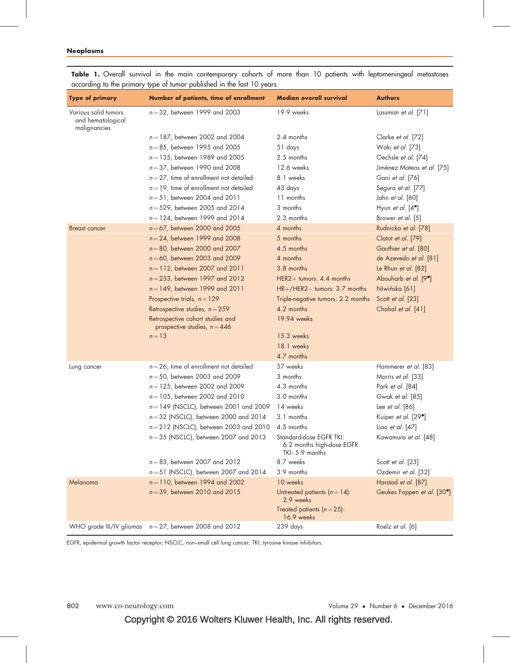| <b>Type of primary</b>                                    | Number of patients, time of enrollment                             | <b>Median overall survival</b>                                          | <b>Authors</b>             |
|-----------------------------------------------------------|--------------------------------------------------------------------|-------------------------------------------------------------------------|----------------------------|
| Various solid tumors<br>and hematological<br>malignancies | $n = 32$ , between 1999 and 2003                                   | 19.9 weeks                                                              | Lassman et al. [71]        |
|                                                           | $n = 187$ , between 2002 and 2004                                  | 2.4 months                                                              | Clarke et al. [72]         |
|                                                           | $n = 85$ , between 1995 and 2005                                   | 51 days                                                                 | Waki et al. [73]           |
|                                                           | $n = 135$ , between 1989 and 2005                                  | 2.5 months                                                              | Oechsle et al. [74]        |
|                                                           | $n = 37$ , between 1990 and 2008                                   | 12.6 weeks                                                              | Jiménez Mateos et al. [75] |
|                                                           | $n = 27$ , time of enrollment not detailed                         | 8.1 weeks                                                               | Gani et al. [76]           |
|                                                           | $n = 19$ , time of enrollment not detailed                         | 43 days                                                                 | Segura et al. [77]         |
|                                                           | $n = 51$ , between 2004 and 2011                                   | 11 months                                                               | Jahn et al. [60]           |
|                                                           | $n = 529$ , between 2005 and 2014                                  | 3 months                                                                | Hyun et al. $[4"$ ]        |
|                                                           | $n = 124$ , between 1999 and 2014                                  | 2.3 months                                                              | Brower et al. [5]          |
| <b>Breast cancer</b>                                      | $n = 67$ , between 2000 and 2005                                   | 4 months                                                                | Rudnicka et al. [78]       |
|                                                           | $n = 24$ , between 1999 and 2008                                   | 5 months                                                                | Clatot et al. [79]         |
|                                                           | $n = 80$ , between 2000 and 2007                                   | 4.5 months                                                              | Gauthier et al. [80]       |
|                                                           | $n = 60$ , between 2003 and 2009                                   | 4 months                                                                | de Azevedo et al. [81]     |
|                                                           | $n = 112$ , between 2007 and 2011                                  | 3.8 months                                                              | Le Rhun et al. [82]        |
|                                                           | $n = 233$ , between 1997 and 2012                                  | HER2+ tumors: $4.4$ months                                              | Abouharb et al. [9"]       |
|                                                           | $n = 149$ , between 1999 and 2011                                  | HR+/HER2- tumors: 3.7 months                                            | Niwińska [61]              |
|                                                           | Prospective trials, $n = 129$                                      | Triple-negative tumors: 2.2 months                                      | Scott et al. [23]          |
|                                                           | Retrospective studies, $n = 259$                                   | 4.2 months                                                              | Chahal et al. [41]         |
|                                                           | Retrospective cohort studies and<br>prospective studies, $n = 446$ | 19.94 weeks                                                             |                            |
|                                                           | $n = 13$                                                           | 15.3 weeks                                                              |                            |
|                                                           |                                                                    | 18.1 weeks                                                              |                            |
|                                                           |                                                                    | 4.7 months                                                              |                            |
| Lung cancer                                               | $n = 26$ , time of enrollment not detailed                         | 57 weeks                                                                | Hammerer et al. [83]       |
|                                                           | $n = 50$ , between 2003 and 2009                                   | 3 months                                                                | Morris et al. [33]         |
|                                                           | $n = 125$ , between 2002 and 2009                                  | 4.3 months                                                              | Park et al. [84]           |
|                                                           | $n = 105$ , between 2002 and 2010                                  | 3.0 months                                                              | Gwak et al. [85]           |
|                                                           | $n = 149$ (NSCLC), between 2001 and 2009                           | 14 weeks                                                                | Lee et al. [86]            |
|                                                           | $n = 32$ (NSCLC), between 2000 and 2014                            | 3.1 months                                                              | Kuiper et al. [29"]        |
|                                                           | $n = 212$ (NSCLC), between 2003 and 2010                           | 4.5 months                                                              | Liao et al. [47]           |
|                                                           | $n = 35$ (NSCLC), between 2007 and 2013                            | Standard-dose EGFR TKI:<br>6.2 months high-dose EGFR<br>TKI: 5.9 months | Kawamura et al. [48]       |
|                                                           | $n = 83$ , between 2007 and 2012                                   | 8.7 weeks                                                               | Scott et al. [23]          |
|                                                           | $n = 51$ (NSCLC), between 2007 and 2014                            | 3.9 months                                                              | Ozdemir et al. [32]        |
| Melanoma                                                  | $n = 110$ , between 1994 and 2002                                  | 10 weeks                                                                | Harstad et al. [87]        |
|                                                           | $n = 39$ , between 2010 and 2015                                   | Untreated patients $(n = 14)$ :<br>2.9 weeks                            | Geukes Foppen et al. [30"] |
|                                                           |                                                                    | Treated patients $(n=25)$ :<br>16.9 weeks                               |                            |
|                                                           | WHO grade III/IV gliomas $n = 27$ , between 2008 and 2012          | 239 days                                                                | Roelz et al. [6]           |

Table 1. Overall survival in the main contemporary cohorts of more than 10 patients with leptomeningeal metastases according to the primary type of tumor published in the last 10 years

EGFR, epidermal growth factor receptor; NSCLC, non–small cell lung cancer; TKI, tyrosine kinase inhibitors.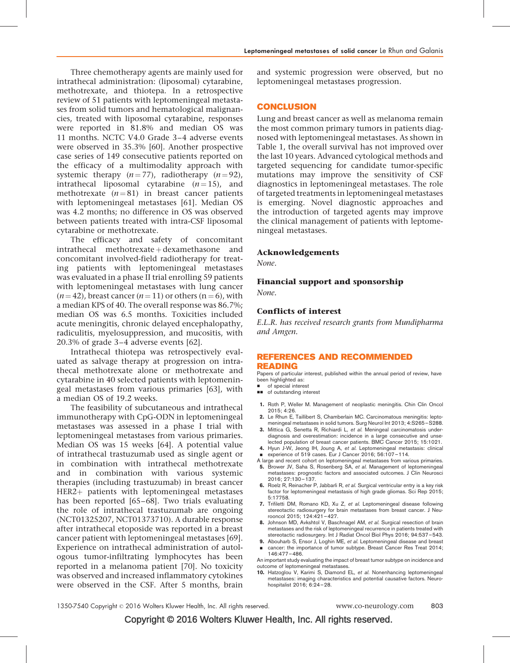<span id="page-6-0"></span>Three chemotherapy agents are mainly used for intrathecal administration: (liposomal) cytarabine, methotrexate, and thiotepa. In a retrospective review of 51 patients with leptomeningeal metastases from solid tumors and hematological malignancies, treated with liposomal cytarabine, responses were reported in 81.8% and median OS was 11 months. NCTC V4.0 Grade 3–4 adverse events were observed in 35.3% [\[60\]](#page-8-0). Another prospective case series of 149 consecutive patients reported on the efficacy of a multimodality approach with systemic therapy  $(n = 77)$ , radiotherapy  $(n = 92)$ , intrathecal liposomal cytarabine  $(n=15)$ , and methotrexate  $(n=81)$  in breast cancer patients with leptomeningeal metastases [\[61\]](#page-8-0). Median OS was 4.2 months; no difference in OS was observed between patients treated with intra-CSF liposomal cytarabine or methotrexate.

The efficacy and safety of concomitant  $intracthecal$  methotrexate  $+$  dexamethasone and concomitant involved-field radiotherapy for treating patients with leptomeningeal metastases was evaluated in a phase II trial enrolling 59 patients with leptomeningeal metastases with lung cancer  $(n = 42)$ , breast cancer  $(n = 11)$  or others  $(n = 6)$ , with a median KPS of 40. The overall response was 86.7%; median OS was 6.5 months. Toxicities included acute meningitis, chronic delayed encephalopathy, radiculitis, myelosuppression, and mucositis, with 20.3% of grade 3–4 adverse events [\[62\]](#page-8-0).

Intrathecal thiotepa was retrospectively evaluated as salvage therapy at progression on intrathecal methotrexate alone or methotrexate and cytarabine in 40 selected patients with leptomeningeal metastases from various primaries [\[63\],](#page-8-0) with a median OS of 19.2 weeks.

The feasibility of subcutaneous and intrathecal immunotherapy with CpG-ODN in leptomeningeal metastases was assessed in a phase I trial with leptomeningeal metastases from various primaries. Median OS was 15 weeks [\[64\]](#page-8-0). A potential value of intrathecal trastuzumab used as single agent or in combination with intrathecal methotrexate and in combination with various systemic therapies (including trastuzumab) in breast cancer  $HER2+$  patients with leptomeningeal metastases has been reported [\[65–68\].](#page-8-0) Two trials evaluating the role of intrathecal trastuzumab are ongoing (NCT01325207, NCT01373710). A durable response after intrathecal etoposide was reported in a breast cancer patient with leptomeningeal metastases [\[69\]](#page-8-0). Experience on intrathecal administration of autologous tumor-infiltrating lymphocytes has been reported in a melanoma patient [\[70\].](#page-8-0) No toxicity was observed and increased inflammatory cytokines were observed in the CSF. After 5 months, brain

and systemic progression were observed, but no leptomeningeal metastases progression.

## **CONCLUSION**

Lung and breast cancer as well as melanoma remain the most common primary tumors in patients diagnosed with leptomeningeal metastases. As shown in Table 1, the overall survival has not improved over the last 10 years. Advanced cytological methods and targeted sequencing for candidate tumor-specific mutations may improve the sensitivity of CSF diagnostics in leptomeningeal metastases. The role of targeted treatments in leptomeningeal metastases is emerging. Novel diagnostic approaches and the introduction of targeted agents may improve the clinical management of patients with leptomeningeal metastases.

#### Acknowledgements

None.

# Financial support and sponsorship

None.

## Conflicts of interest

E.L.R. has received research grants from Mundipharma and Amgen.

#### REFERENCES AND RECOMMENDED READING

Papers of particular interest, published within the annual period of review, have been highlighted as:

- **of special interest**
- $\Box$  of outstanding interest
- 1. Roth P, Weller M. Management of neoplastic meningitis. Chin Clin Oncol 2015; 4:26.
- 2. Le Rhun E, Taillibert S, Chamberlain MC. Carcinomatous meningitis: leptomeningeal metastases in solid tumors. Surg Neurol Int 2013; 4:S265–S288.
- 3. Mittica G, Senetta R, Richiardi L, et al. Meningeal carcinomatosis underdiagnosis and overestimation: incidence in a large consecutive and unse-lected population of breast cancer patients. BMC Cancer 2015; 15:1021.
- 4. Hyun J-W, Jeong IH, Joung A, et al. Leptomeningeal metastasis: clinical
- experience of 519 cases. Eur J Cancer 2016; 56:107-114.
- A large and recent cohort on leptomeningeal metastases from various primaries. 5. Brower JV, Saha S, Rosenberg SA, et al. Management of leptomeningeal metastases: prognostic factors and associated outcomes. J Clin Neurosci
- 2016; 27:130–137. 6. Roelz R, Reinacher P, Jabbarli R, et al. Surgical ventricular entry is a key risk factor for leptomeningeal metastasis of high grade gliomas. Sci Rep 2015; 5:17758.
- 7. Trifiletti DM, Romano KD, Xu Z, et al. Leptomeningeal disease following stereotactic radiosurgery for brain metastases from breast cancer. J Neurooncol 2015; 124:421–427.
- 8. Johnson MD, Avkshtol V, Baschnagel AM, et al. Surgical resection of brain metastases and the risk of leptomeningeal recurrence in patients treated with stereotactic radiosurgery. Int J Radiat Oncol Biol Phys 2016; 94:537–543.
- 9. Abouharb S, Ensor J, Loghin ME, et al. Leptomeningeal disease and breast & cancer: the importance of tumor subtype. Breast Cancer Res Treat 2014; 146:477–486.

An important study evaluating the impact of breast tumor subtype on incidence and outcome of leptomeningeal metastases.

10. Hatzoglou V, Karimi S, Diamond EL, et al. Nonenhancing leptomeningeal metastases: imaging characteristics and potential causative factors. Neurohospitalist 2016; 6:24–28.

# Copyright © 2016 Wolters Kluwer Health, Inc. All rights reserved.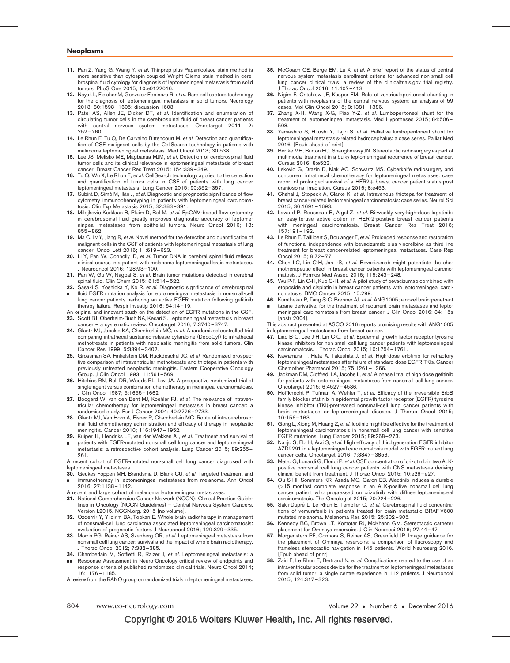- <span id="page-7-0"></span>11. Pan Z, Yang G, Wang Y, et al. Thinprep plus Papanicolaou stain method is more sensitive than cytospin-coupled Wright Giems stain method in cerebrospinal fluid cytology for diagnosis of leptomeningeal metastasis from solid tumors. PLoS One 2015; 10:e0122016.
- 12. Nayak L, Fleisher M, Gonzalez-Espinoza R, et al. Rare cell capture technology for the diagnosis of leptomeningeal metastasis in solid tumors. Neurology 2013; 80:1598–1605; discussion 1603.
- 13. Patel AS, Allen JE, Dicker DT, et al. Identification and enumeration of circulating tumor cells in the cerebrospinal fluid of breast cancer patients with central nervous system metastases. Oncotarget 2011; 2: 752–760.
- 14. Le Rhun E, Tu Q, De Carvalho Bittencourt M, et al. Detection and quantification of CSF malignant cells by the CellSearch technology in patients with melanoma leptomeningeal metastasis. Med Oncol 2013; 30:538.
- 15. Lee JS, Melisko ME, Magbanua MJM, et al. Detection of cerebrospinal fluid tumor cells and its clinical relevance in leptomeningeal metastasis of breast cancer. Breast Cancer Res Treat 2015; 154:339–349.
- 16. Tu Q, Wu X, Le Rhun E, et al. CellSearch technology applied to the detection and quantification of tumor cells in CSF of patients with lung cancer leptomeningeal metastasis. Lung Cancer 2015; 90:352–357.
- 17. Subirá D, Simó M, Illán J, et al. Diagnostic and prognostic significance of flow cytometry immunophenotyping in patients with leptomeningeal carcinomatosis. Clin Exp Metastasis 2015; 32:383–391.
- 18. Milojkovic Kerklaan B, Pluim D, Bol M, et al. EpCAM-based flow cytometry in cerebrospinal fluid greatly improves diagnostic accuracy of leptomeningeal metastases from epithelial tumors. Neuro Oncol 2016; 18: 855–862.
- 19. Ma C, Lv Y, Jiang R, et al. Novel method for the detection and quantification of malignant cells in the CSF of patients with leptomeningeal metastasis of lung cancer. Oncol Lett 2016; 11:619–623.
- 20. Li Y, Pan W, Connolly ID, et al. Tumor DNA in cerebral spinal fluid reflects clinical course in a patient with melanoma leptomeningeal brain metastases. J Neurooncol 2016; 128:93–100.
- 21. Pan W, Gu W, Nagpal S, et al. Brain tumor mutations detected in cerebral spinal fluid. Clin Chem 2015; 61:514–522.
- 22. Sasaki S, Yoshioka Y, Ko R, et al. Diagnostic significance of cerebrospinal
- & fluid EGFR mutation analysis for leptomeningeal metastasis in nonsmall-cell lung cancer patients harboring an active EGFR mutation following gefitinib therapy failure. Respir Investig 2016; 54:14–19.
- An original and innovant study on the detection of EGFR mutations in the CSF.
- 23. Scott BJ, Oberheim-Bush NA, Kesari S. Leptomeningeal metastasis in breast
- cancer a systematic review. Oncotarget 2016; 7:3740–3747. 24. Glantz MJ, Jaeckle KA, Chamberlain MC, et al. A randomized controlled trial comparing intrathecal sustained-release cytarabine (DepoCyt) to intrathecal methotrexate in patients with neoplastic meningitis from solid tumors. Clin Cancer Res 1999; 5:3394–3402.
- 25. Grossman SA, Finkelstein DM, Ruckdeschel JC, et al. Randomized prospective comparison of intraventricular methotrexate and thiotepa in patients with previously untreated neoplastic meningitis. Eastern Cooperative Oncology Group. J Clin Oncol 1993; 11:561–569.
- 26. Hitchins RN, Bell DR, Woods RL, Levi JA. A prospective randomized trial of single-agent versus combination chemotherapy in meningeal carcinomatosis. J Clin Oncol 1987; 5:1655–1662.
- 27. Boogerd W, van den Bent MJ, Koehler PJ, et al. The relevance of intraventricular chemotherapy for leptomeningeal metastasis in breast cancer: a randomised study. Eur J Cancer 2004; 40:2726–2733.
- 28. Glantz MJ, Van Horn A, Fisher R, Chamberlain MC. Route of intracerebrospinal fluid chemotherapy administration and efficacy of therapy in neoplastic meningitis. Cancer 2010; 116:1947–1952.
- 29. Kuiper JL, Hendriks LE, van der Wekken AJ, et al. Treatment and survival of
- & patients with EGFR-mutated nonsmall cell lung cancer and leptomeningeal metastasis: a retrospective cohort analysis. Lung Cancer 2015; 89:255– 261.

A recent cohort of EGFR-mutated non-small cell lung cancer diagnosed with leptomeningeal metastases.

- 30. Geukes Foppen MH, Brandsma D, Blank CU, et al. Targeted treatment and & immunotherapy in leptomeningeal metastases from melanoma. Ann Oncol 2016; 27:1138–1142.
- A recent and large cohort of melanoma leptomeningeal metastases.
- 31. National Comprehensice Cancer Network (NCCN): Clinical Practice Guidelines in Oncology (NCCN Guidelines) – Central Nervous System Cancers. Version I.2015. NCCN.org. 2015 [no volume].
- 32. Ozdemir Y, Yildirim BA, Topkan E. Whole brain radiotherapy in management of nonsmall-cell lung carcinoma associated leptomeningeal carcinomatosis: evaluation of prognostic factors. J Neurooncol 2016; 129:329–335.
- 33. Morris PG, Reiner AS, Szenberg OR, et al. Leptomeningeal metastasis from nonsmall cell lung cancer: survival and the impact of whole brain radiotherapy. J Thorac Oncol 2012; 7:382–385.
- 34. Chamberlain M, Soffietti R, Raizer J, et al. Leptomeningeal metastasis: a
- && Response Assessment in Neuro-Oncology critical review of endpoints and response criteria of published randomized clinical trials. Neuro Oncol 2014; 16:1176–1185.

A review from the RANO group on randomized trials in leptomeningeal metastases.

- 35. McCoach CE, Berge EM, Lu X, et al. A brief report of the status of central nervous system metastasis enrollment criteria for advanced non-small cell lung cancer clinical trials: a review of the clinicaltrials.gov trial registry. J Thorac Oncol 2016; 11:407–413.
- 36. Nigim F, Critchlow JF, Kasper EM. Role of ventriculoperitoneal shunting in patients with neoplasms of the central nervous system: an analysis of 59 cases. Mol Clin Oncol 2015; 3:1381–1386.
- 37. Zhang X-H, Wang X-G, Piao Y-Z, et al. Lumboperitoneal shunt for the treatment of leptomeningeal metastasis. Med Hypotheses 2015; 84:506– 508.
- 38. Yamashiro S, Hitoshi Y, Tajiri S, et al. Palliative lumboperitoneal shunt for leptomeningeal metastasis-related hydrocephalus: a case series. Palliat Med 2016. [Epub ahead of print]
- 39. Bertke MH, Burton EC, Shaughnessy JN. Stereotactic radiosurgery as part of multimodal treatment in a bulky leptomeningeal recurrence of breast cancer. Cureus 2016; 8:e523.
- 40. Lekovic G, Drazin D, Mak AC, Schwartz MS. Cyberknife radiosurgery and concurrent intrathecal chemotherapy for leptomeningeal metastases: case report of prolonged survival of a HER2+ breast cancer patient status-post craniospinal irradiation. Cureus 2016; 8:e453.
- 41. Chahal J, Stopeck A, Clarke K, et al. Intravenous thiotepa for treatment of breast cancer-related leptomeningeal carcinomatosis: case series. Neurol Sci 2015; 36:1691–1693.
- 42. Lavaud P, Rousseau B, Ajgal Z, et al. Bi-weekly very-high-dose lapatinib: an easy-to-use active option in HER-2-positive breast cancer patients with meningeal carcinomatosis. Breast Cancer Res Treat 2016; 157:191–192.
- 43. Le Rhun E, Taillibert S, Boulanger T, et al. Prolonged response and restoration of functional independence with bevacizumab plus vinorelbine as third-line treatment for breast cancer-related leptomeningeal metastases. Case Rep Oncol 2015; 8:72–77.
- 44. Chen I-C, Lin C-H, Jan I-S, et al. Bevacizumab might potentiate the chemotherapeutic effect in breast cancer patients with leptomeningeal carcinomatosis. J Formos Med Assoc 2016; 115:243–248.
- 45. Wu P-F, Lin C-H, Kuo C-H, et al. A pilot study of bevacizumab combined with etoposide and cisplatin in breast cancer patients with leptomeningeal carcinomatosis. BMC Cancer 2015; 15:299.
- 46. Kumthekar P, Tang S-C, Brenner AJ, et al. ANG1005; a novel brain-penetrant & taxane derivative, for the treatment of recurrent brain metastases and leptomeningeal carcinomatosis from breast cancer. J Clin Oncol 2016; 34: 15s

[abstr 2004]. This abstract presented at ASCO 2016 reports promising results with ANG1005 in leptomeningeal metastases from breast cancer

- 47. Liao B-C, Lee J-H, Lin C-C, et al. Epidermal growth factor receptor tyrosine kinase inhibitors for non-small-cell lung cancer patients with leptomeningeal carcinomatosis. J Thorac Oncol 2015; 10:1754–1761.
- 48. Kawamura T, Hata A, Takeshita J, et al. High-dose erlotinib for refractory leptomeningeal metastases after failure of standard-dose EGFR-TKIs. Cancer Chemother Pharmacol 2015; 75:1261–1266.
- 49. Jackman DM, Cioffredi LA, Jacobs L, et al. A phase I trial of high dose gefitinib for patients with leptomeningeal metastases from nonsmall cell lung cancer. Oncotarget 2015; 6:4527–4536.
- 50. Hoffknecht P, Tufman A, Wehler T, et al. Efficacy of the irreversible ErbB family blocker afatinib in epidermal growth factor receptor (EGFR) tyrosine kinase inhibitor (TKI)-pretreated nonsmall-cell lung cancer patients with brain metastases or leptomeningeal disease. J Thorac Oncol 2015; 10:156–163.
- 51. Gong L, Xiong M, Huang Z, et al. Icotinib might be effective for the treatment of leptomeningeal carcinomatosis in nonsmall cell lung cancer with sensitive EGFR mutations. Lung Cancer 2015; 89:268–273.
- 52. Nanjo S, Ebi H, Arai S, et al. High efficacy of third generation EGFR inhibitor AZD9291 in a leptomeningeal carcinomatosis model with EGFR-mutant lung cancer cells. Oncotarget 2016; 7:3847–3856.
- 53. Metro G, Lunardi G, Floridi P, et al. CSF concentration of crizotinib in two ALKpositive non-small-cell lung cancer patients with CNS metastases deriving clinical benefit from treatment. J Thorac Oncol 2015; 10:e26–e27.
- 54. Ou S-HI, Sommers KR, Azada MC, Garon EB. Alectinib induces a durable (>15 months) complete response in an ALK-positive nonsmall cell lung cancer patient who progressed on crizotinib with diffuse leptomeningeal carcinomatosis. The Oncologist 2015; 20:224–226.
- 55. Sakii-Dupré L, Le Rhun E, Templier C, et al. Cerebrospinal fluid concentrations of vemurafenib in patients treated for brain metastatic BRAF-V600 mutated melanoma. Melanoma Res 2015; 25:302–305.
- 56. Kennedy BC, Brown LT, Komotar RJ, McKhann GM. Stereotactic catheter placement for Ommaya reservoirs. J Clin Neurosci 2016; 27:44–47.
- 57. Morgenstern PF, Connors S, Reiner AS, Greenfield JP. Image guidance for the placement of Ommaya reservoirs: a comparison of fluoroscopy and frameless stereotactic navigation in 145 patients. World Neurosurg 2016. [Epub ahead of print]
- 58. Zairi F, Le Rhun E, Bertrand N, et al. Complications related to the use of an intraventricular access device for the treatment of leptomeningeal metastases from solid tumor: a single centre experience in 112 patients. J Neurooncol 2015; 124:317–323.